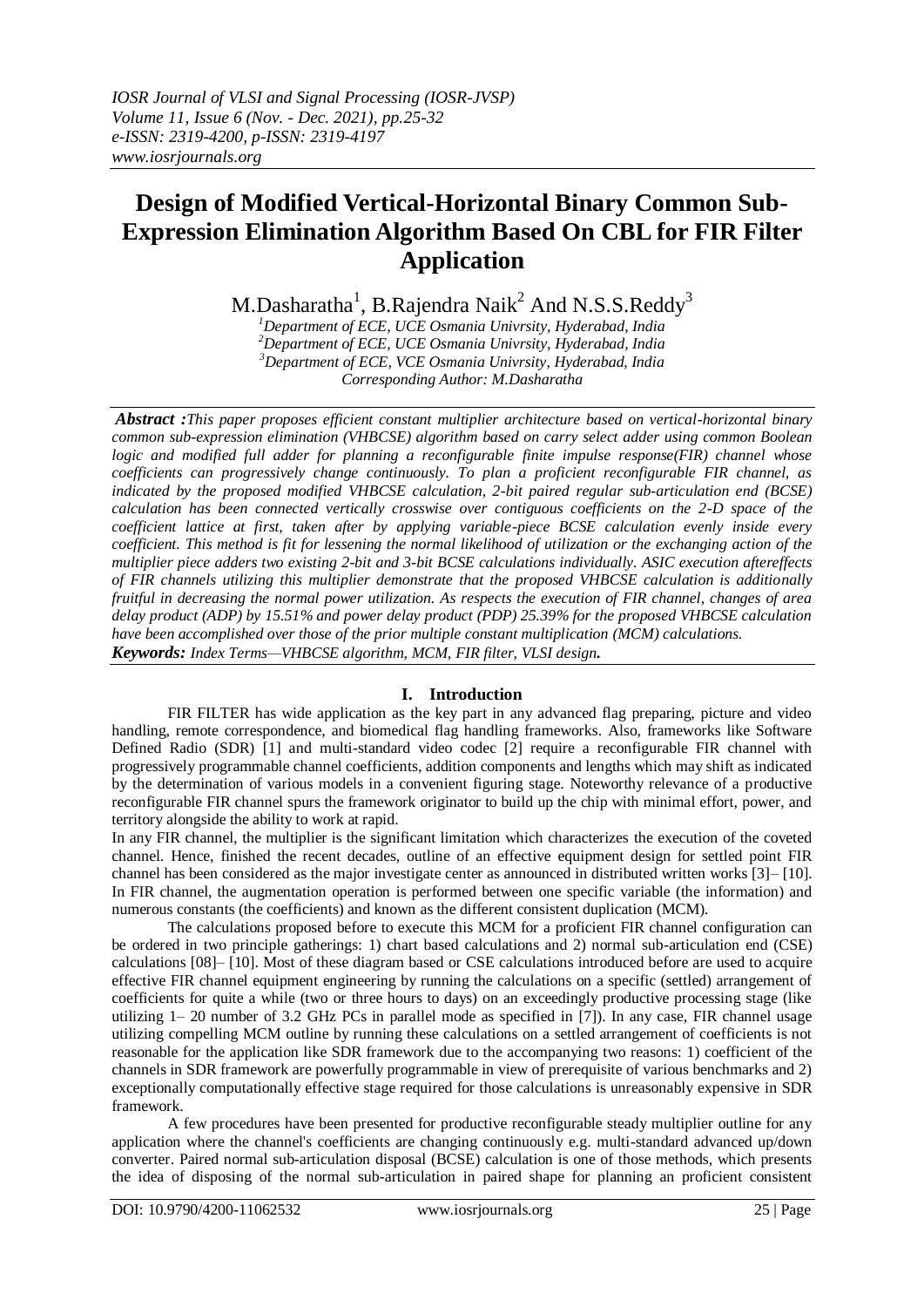# **Design of Modified Vertical-Horizontal Binary Common Sub-Expression Elimination Algorithm Based On CBL for FIR Filter Application**

M.Dasharatha $^1$ , B.Rajendra Naik $^2$  And N.S.S.Reddy $^3$ 

*Department of ECE, UCE Osmania Univrsity, Hyderabad, India Department of ECE, UCE Osmania Univrsity, Hyderabad, India Department of ECE, VCE Osmania Univrsity, Hyderabad, India Corresponding Author: M.Dasharatha*

*Abstract :This paper proposes efficient constant multiplier architecture based on vertical-horizontal binary common sub-expression elimination (VHBCSE) algorithm based on carry select adder using common Boolean logic and modified full adder for planning a reconfigurable finite impulse response(FIR) channel whose coefficients can progressively change continuously. To plan a proficient reconfigurable FIR channel, as indicated by the proposed modified VHBCSE calculation, 2-bit paired regular sub-articulation end (BCSE) calculation has been connected vertically crosswise over contiguous coefficients on the 2-D space of the coefficient lattice at first, taken after by applying variable-piece BCSE calculation evenly inside every coefficient. This method is fit for lessening the normal likelihood of utilization or the exchanging action of the multiplier piece adders two existing 2-bit and 3-bit BCSE calculations individually. ASIC execution aftereffects of FIR channels utilizing this multiplier demonstrate that the proposed VHBCSE calculation is additionally fruitful in decreasing the normal power utilization. As respects the execution of FIR channel, changes of area delay product (ADP) by 15.51% and power delay product (PDP) 25.39% for the proposed VHBCSE calculation have been accomplished over those of the prior multiple constant multiplication (MCM) calculations. Keywords: Index Terms—VHBCSE algorithm, MCM, FIR filter, VLSI design.*

## **I. Introduction**

FIR FILTER has wide application as the key part in any advanced flag preparing, picture and video handling, remote correspondence, and biomedical flag handling frameworks. Also, frameworks like Software Defined Radio (SDR) [1] and multi-standard video codec [2] require a reconfigurable FIR channel with progressively programmable channel coefficients, addition components and lengths which may shift as indicated by the determination of various models in a convenient figuring stage. Noteworthy relevance of a productive reconfigurable FIR channel spurs the framework originator to build up the chip with minimal effort, power, and territory alongside the ability to work at rapid.

In any FIR channel, the multiplier is the significant limitation which characterizes the execution of the coveted channel. Hence, finished the recent decades, outline of an effective equipment design for settled point FIR channel has been considered as the major investigate center as announced in distributed written works [3]– [10]. In FIR channel, the augmentation operation is performed between one specific variable (the information) and numerous constants (the coefficients) and known as the different consistent duplication (MCM).

The calculations proposed before to execute this MCM for a proficient FIR channel configuration can be ordered in two principle gatherings: 1) chart based calculations and 2) normal sub-articulation end (CSE) calculations [08]– [10]. Most of these diagram based or CSE calculations introduced before are used to acquire effective FIR channel equipment engineering by running the calculations on a specific (settled) arrangement of coefficients for quite a while (two or three hours to days) on an exceedingly productive processing stage (like utilizing 1– 20 number of 3.2 GHz PCs in parallel mode as specified in [7]). In any case, FIR channel usage utilizing compelling MCM outline by running these calculations on a settled arrangement of coefficients is not reasonable for the application like SDR framework due to the accompanying two reasons: 1) coefficient of the channels in SDR framework are powerfully programmable in view of prerequisite of various benchmarks and 2) exceptionally computationally effective stage required for those calculations is unreasonably expensive in SDR framework.

A few procedures have been presented for productive reconfigurable steady multiplier outline for any application where the channel's coefficients are changing continuously e.g. multi-standard advanced up/down converter. Paired normal sub-articulation disposal (BCSE) calculation is one of those methods, which presents the idea of disposing of the normal sub-articulation in paired shape for planning an proficient consistent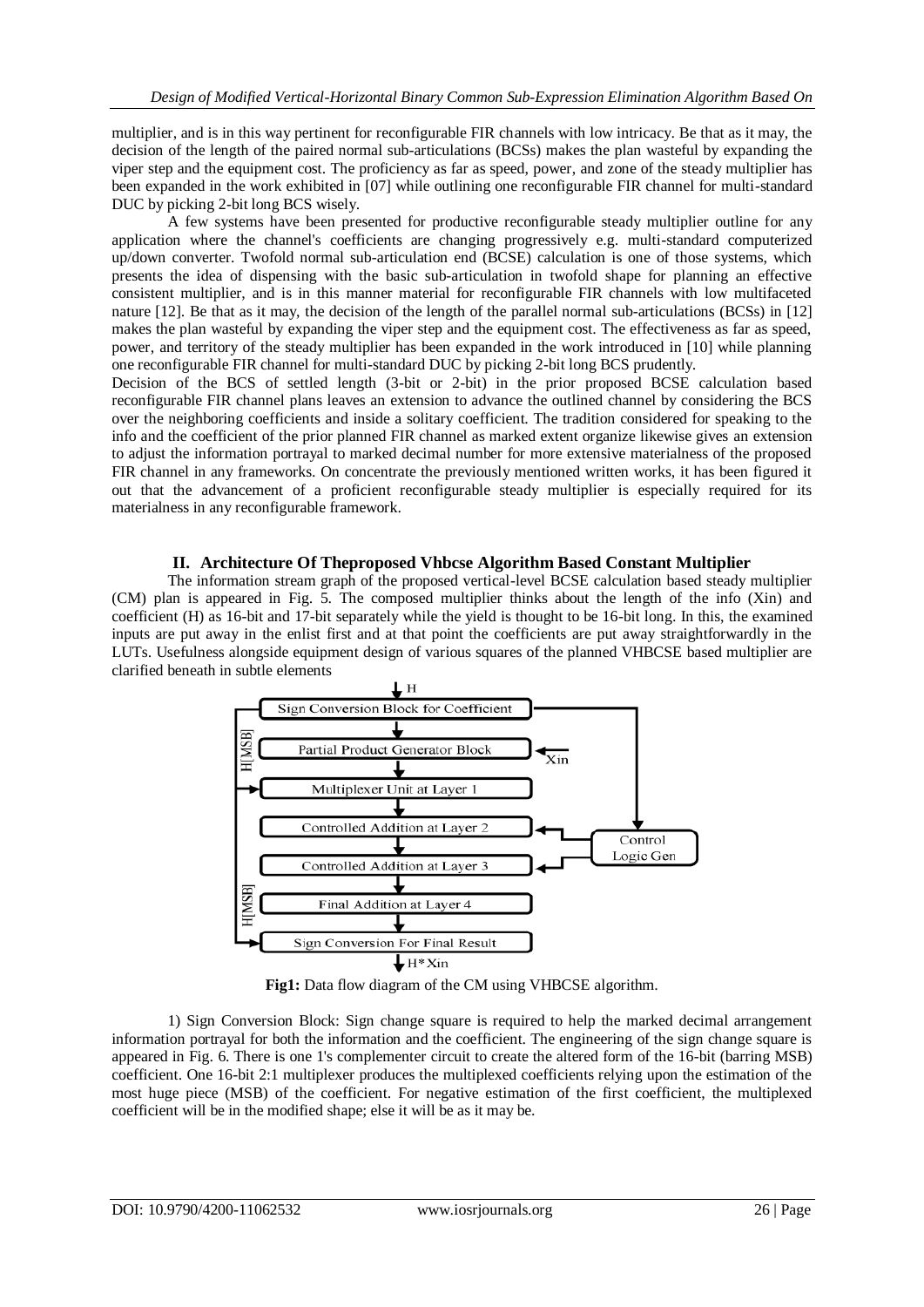multiplier, and is in this way pertinent for reconfigurable FIR channels with low intricacy. Be that as it may, the decision of the length of the paired normal sub-articulations (BCSs) makes the plan wasteful by expanding the viper step and the equipment cost. The proficiency as far as speed, power, and zone of the steady multiplier has been expanded in the work exhibited in [07] while outlining one reconfigurable FIR channel for multi-standard DUC by picking 2-bit long BCS wisely.

A few systems have been presented for productive reconfigurable steady multiplier outline for any application where the channel's coefficients are changing progressively e.g. multi-standard computerized up/down converter. Twofold normal sub-articulation end (BCSE) calculation is one of those systems, which presents the idea of dispensing with the basic sub-articulation in twofold shape for planning an effective consistent multiplier, and is in this manner material for reconfigurable FIR channels with low multifaceted nature [12]. Be that as it may, the decision of the length of the parallel normal sub-articulations (BCSs) in [12] makes the plan wasteful by expanding the viper step and the equipment cost. The effectiveness as far as speed, power, and territory of the steady multiplier has been expanded in the work introduced in [10] while planning one reconfigurable FIR channel for multi-standard DUC by picking 2-bit long BCS prudently.

Decision of the BCS of settled length (3-bit or 2-bit) in the prior proposed BCSE calculation based reconfigurable FIR channel plans leaves an extension to advance the outlined channel by considering the BCS over the neighboring coefficients and inside a solitary coefficient. The tradition considered for speaking to the info and the coefficient of the prior planned FIR channel as marked extent organize likewise gives an extension to adjust the information portrayal to marked decimal number for more extensive materialness of the proposed FIR channel in any frameworks. On concentrate the previously mentioned written works, it has been figured it out that the advancement of a proficient reconfigurable steady multiplier is especially required for its materialness in any reconfigurable framework.

### **II. Architecture Of Theproposed Vhbcse Algorithm Based Constant Multiplier**

The information stream graph of the proposed vertical-level BCSE calculation based steady multiplier (CM) plan is appeared in Fig. 5. The composed multiplier thinks about the length of the info (Xin) and coefficient (H) as 16-bit and 17-bit separately while the yield is thought to be 16-bit long. In this, the examined inputs are put away in the enlist first and at that point the coefficients are put away straightforwardly in the LUTs. Usefulness alongside equipment design of various squares of the planned VHBCSE based multiplier are clarified beneath in subtle elements



Fig1: Data flow diagram of the CM using VHBCSE algorithm.

1) Sign Conversion Block: Sign change square is required to help the marked decimal arrangement information portrayal for both the information and the coefficient. The engineering of the sign change square is appeared in Fig. 6. There is one 1's complementer circuit to create the altered form of the 16-bit (barring MSB) coefficient. One 16-bit 2:1 multiplexer produces the multiplexed coefficients relying upon the estimation of the most huge piece (MSB) of the coefficient. For negative estimation of the first coefficient, the multiplexed coefficient will be in the modified shape; else it will be as it may be.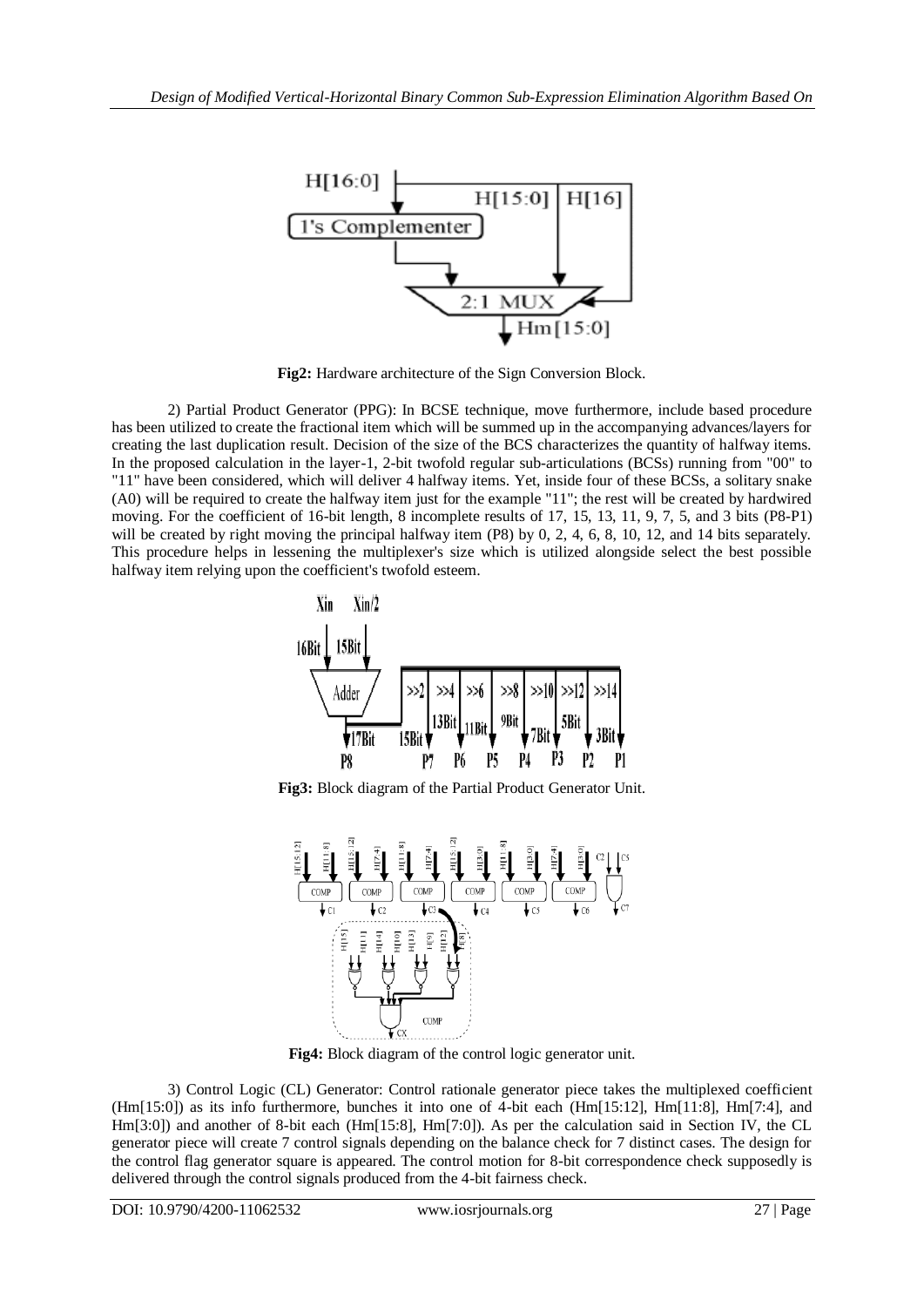

**Fig2:** Hardware architecture of the Sign Conversion Block.

2) Partial Product Generator (PPG): In BCSE technique, move furthermore, include based procedure has been utilized to create the fractional item which will be summed up in the accompanying advances/layers for creating the last duplication result. Decision of the size of the BCS characterizes the quantity of halfway items. In the proposed calculation in the layer-1, 2-bit twofold regular sub-articulations (BCSs) running from "00" to "11" have been considered, which will deliver 4 halfway items. Yet, inside four of these BCSs, a solitary snake (A0) will be required to create the halfway item just for the example "11"; the rest will be created by hardwired moving. For the coefficient of 16-bit length, 8 incomplete results of 17, 15, 13, 11, 9, 7, 5, and 3 bits (P8-P1) will be created by right moving the principal halfway item (P8) by 0, 2, 4, 6, 8, 10, 12, and 14 bits separately. This procedure helps in lessening the multiplexer's size which is utilized alongside select the best possible halfway item relying upon the coefficient's twofold esteem.



**Fig3:** Block diagram of the Partial Product Generator Unit.



**Fig4:** Block diagram of the control logic generator unit.

3) Control Logic (CL) Generator: Control rationale generator piece takes the multiplexed coefficient (Hm[15:0]) as its info furthermore, bunches it into one of 4-bit each (Hm[15:12], Hm[11:8], Hm[7:4], and Hm[3:0]) and another of 8-bit each (Hm[15:8], Hm[7:0]). As per the calculation said in Section IV, the CL generator piece will create 7 control signals depending on the balance check for 7 distinct cases. The design for the control flag generator square is appeared. The control motion for 8-bit correspondence check supposedly is delivered through the control signals produced from the 4-bit fairness check.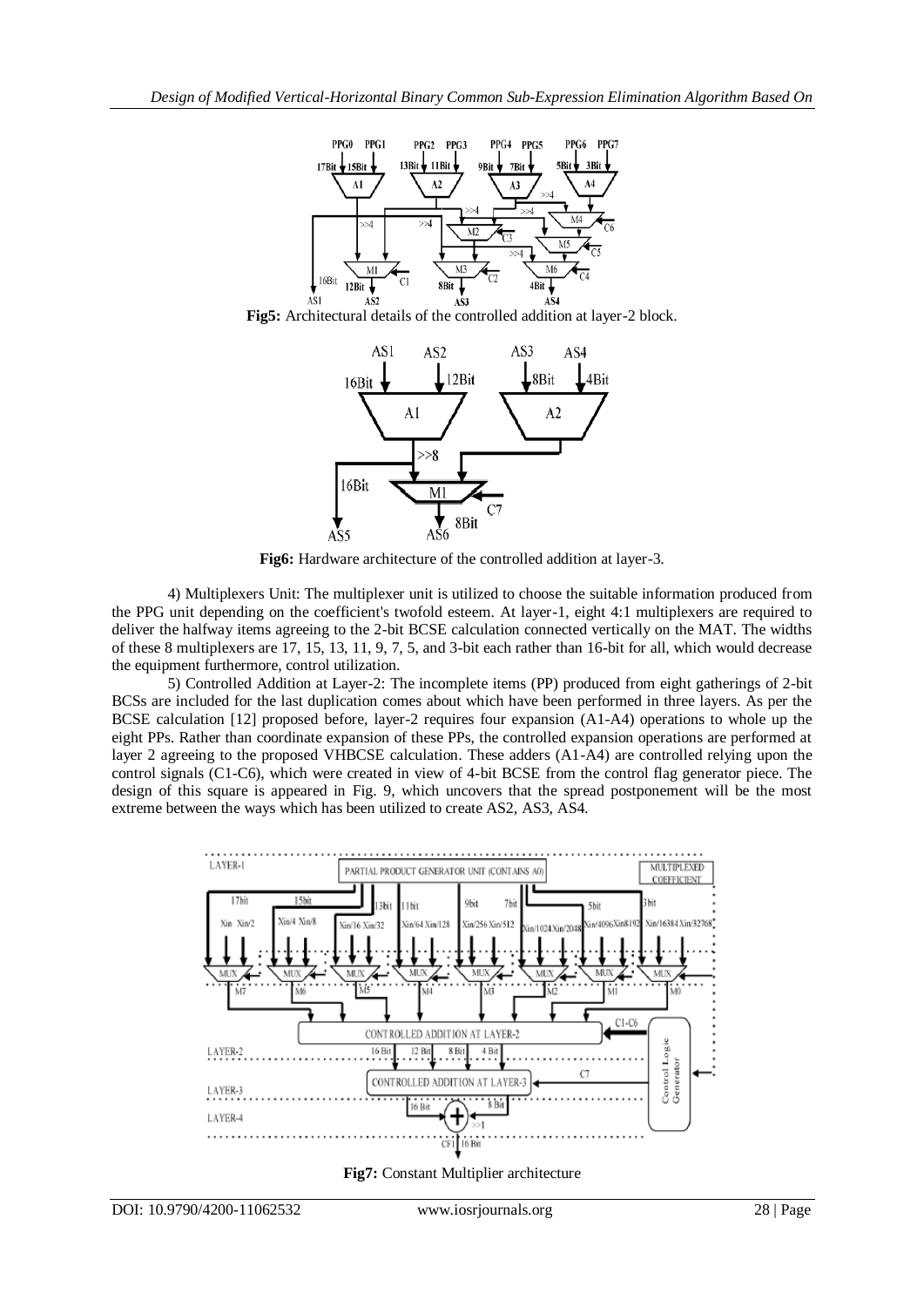

**Fig5:** Architectural details of the controlled addition at layer-2 block.



**Fig6:** Hardware architecture of the controlled addition at layer-3.

4) Multiplexers Unit: The multiplexer unit is utilized to choose the suitable information produced from the PPG unit depending on the coefficient's twofold esteem. At layer-1, eight 4:1 multiplexers are required to deliver the halfway items agreeing to the 2-bit BCSE calculation connected vertically on the MAT. The widths of these 8 multiplexers are 17, 15, 13, 11, 9, 7, 5, and 3-bit each rather than 16-bit for all, which would decrease the equipment furthermore, control utilization.

5) Controlled Addition at Layer-2: The incomplete items (PP) produced from eight gatherings of 2-bit BCSs are included for the last duplication comes about which have been performed in three layers. As per the BCSE calculation [12] proposed before, layer-2 requires four expansion (A1-A4) operations to whole up the eight PPs. Rather than coordinate expansion of these PPs, the controlled expansion operations are performed at layer 2 agreeing to the proposed VHBCSE calculation. These adders (A1-A4) are controlled relying upon the control signals (C1-C6), which were created in view of 4-bit BCSE from the control flag generator piece. The design of this square is appeared in Fig. 9, which uncovers that the spread postponement will be the most extreme between the ways which has been utilized to create AS2, AS3, AS4.



**Fig7:** Constant Multiplier architecture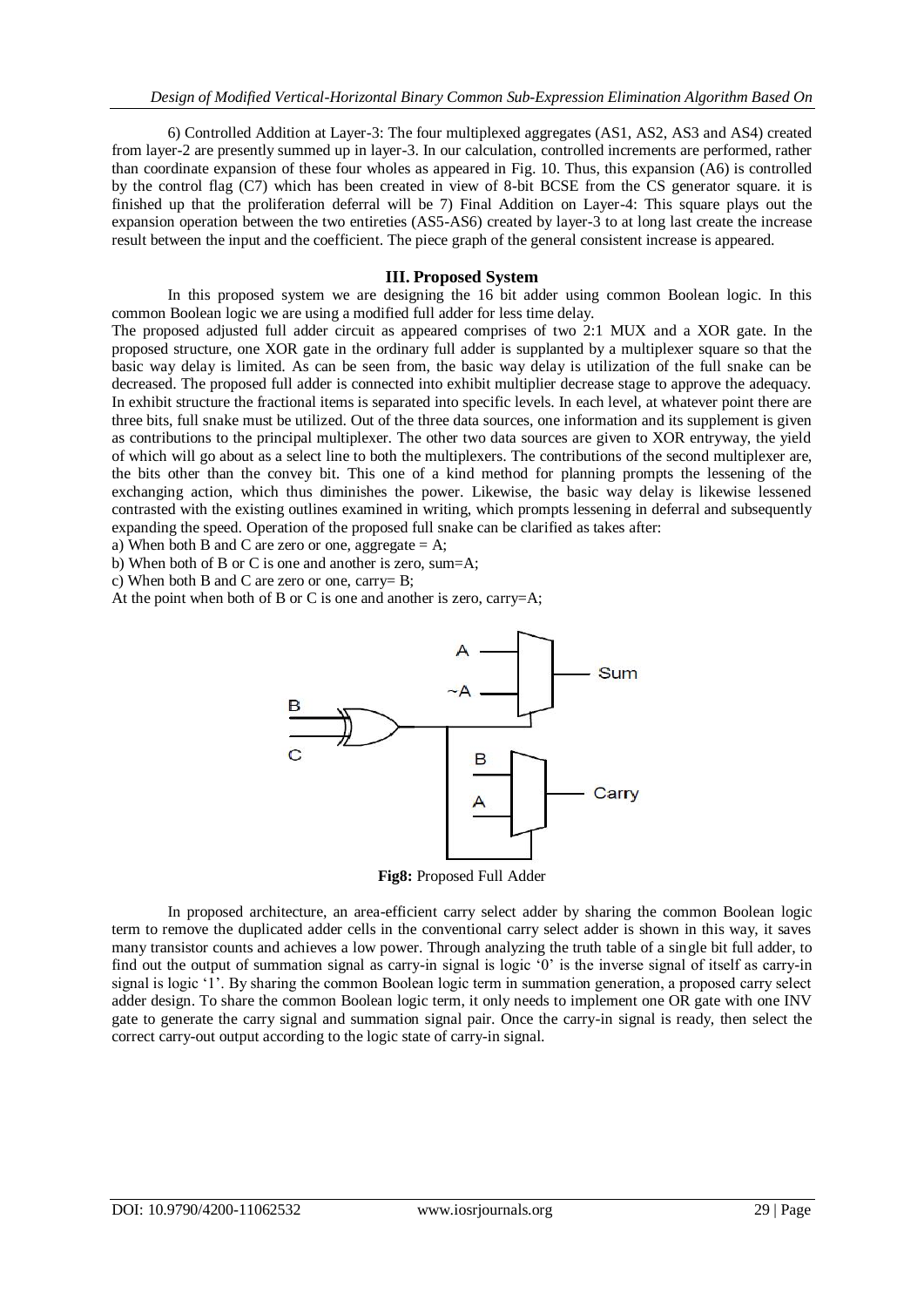6) Controlled Addition at Layer-3: The four multiplexed aggregates (AS1, AS2, AS3 and AS4) created from layer-2 are presently summed up in layer-3. In our calculation, controlled increments are performed, rather than coordinate expansion of these four wholes as appeared in Fig. 10. Thus, this expansion (A6) is controlled by the control flag (C7) which has been created in view of 8-bit BCSE from the CS generator square. it is finished up that the proliferation deferral will be 7) Final Addition on Layer-4: This square plays out the expansion operation between the two entireties (AS5-AS6) created by layer-3 to at long last create the increase result between the input and the coefficient. The piece graph of the general consistent increase is appeared.

#### **III. Proposed System**

In this proposed system we are designing the 16 bit adder using common Boolean logic. In this common Boolean logic we are using a modified full adder for less time delay.

The proposed adjusted full adder circuit as appeared comprises of two 2:1 MUX and a XOR gate. In the proposed structure, one XOR gate in the ordinary full adder is supplanted by a multiplexer square so that the basic way delay is limited. As can be seen from, the basic way delay is utilization of the full snake can be decreased. The proposed full adder is connected into exhibit multiplier decrease stage to approve the adequacy. In exhibit structure the fractional items is separated into specific levels. In each level, at whatever point there are three bits, full snake must be utilized. Out of the three data sources, one information and its supplement is given as contributions to the principal multiplexer. The other two data sources are given to XOR entryway, the yield of which will go about as a select line to both the multiplexers. The contributions of the second multiplexer are, the bits other than the convey bit. This one of a kind method for planning prompts the lessening of the exchanging action, which thus diminishes the power. Likewise, the basic way delay is likewise lessened contrasted with the existing outlines examined in writing, which prompts lessening in deferral and subsequently expanding the speed. Operation of the proposed full snake can be clarified as takes after:

a) When both B and C are zero or one, aggregate  $= A$ ;

b) When both of B or C is one and another is zero, sum=A;

c) When both B and C are zero or one, carry= B;

At the point when both of B or C is one and another is zero, carry=A;



**Fig8:** Proposed Full Adder

In proposed architecture, an area-efficient carry select adder by sharing the common Boolean logic term to remove the duplicated adder cells in the conventional carry select adder is shown in this way, it saves many transistor counts and achieves a low power. Through analyzing the truth table of a single bit full adder, to find out the output of summation signal as carry-in signal is logic '0' is the inverse signal of itself as carry-in signal is logic '1'. By sharing the common Boolean logic term in summation generation, a proposed carry select adder design. To share the common Boolean logic term, it only needs to implement one OR gate with one INV gate to generate the carry signal and summation signal pair. Once the carry-in signal is ready, then select the correct carry-out output according to the logic state of carry-in signal.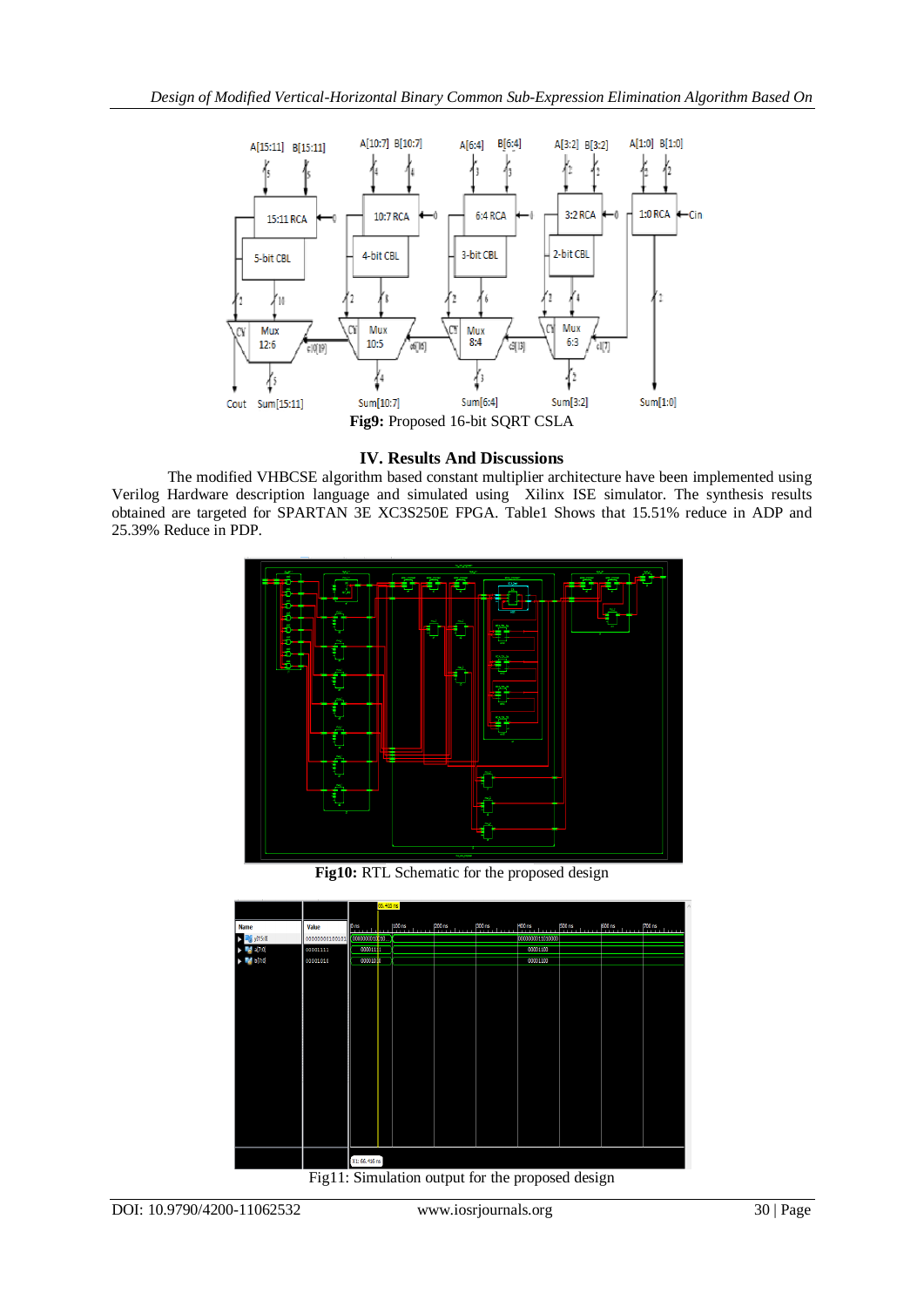

## **IV. Results And Discussions**

The modified VHBCSE algorithm based constant multiplier architecture have been implemented using Verilog Hardware description language and simulated using Xilinx ISE simulator. The synthesis results obtained are targeted for SPARTAN 3E XC3S250E FPGA. Table1 Shows that 15.51% reduce in ADP and 25.39% Reduce in PDP.



**Fig10:** RTL Schematic for the proposed design



Fig11: Simulation output for the proposed design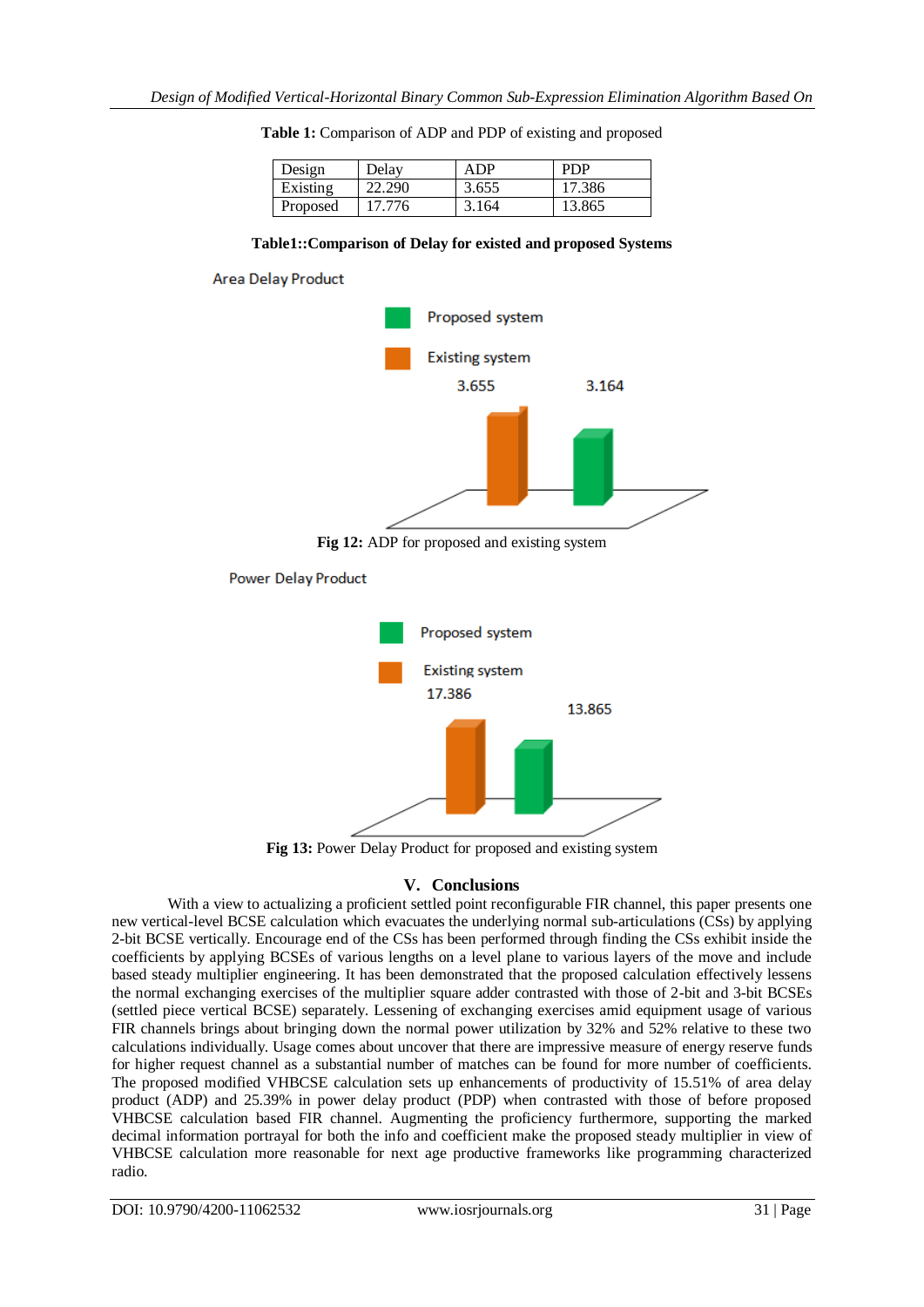| Design   | Delay  | A DP  | <b>PDP</b> |
|----------|--------|-------|------------|
| Existing | 22.290 | 3.655 | 17.386     |
| Proposed | 17.776 | 3.164 | 13.865     |

|  | Table 1: Comparison of ADP and PDP of existing and proposed |  |  |  |  |
|--|-------------------------------------------------------------|--|--|--|--|
|--|-------------------------------------------------------------|--|--|--|--|

#### **Table1::Comparison of Delay for existed and proposed Systems**



**Power Delay Product** 



**Fig 13:** Power Delay Product for proposed and existing system

## **V. Conclusions**

With a view to actualizing a proficient settled point reconfigurable FIR channel, this paper presents one new vertical-level BCSE calculation which evacuates the underlying normal sub-articulations (CSs) by applying 2-bit BCSE vertically. Encourage end of the CSs has been performed through finding the CSs exhibit inside the coefficients by applying BCSEs of various lengths on a level plane to various layers of the move and include based steady multiplier engineering. It has been demonstrated that the proposed calculation effectively lessens the normal exchanging exercises of the multiplier square adder contrasted with those of 2-bit and 3-bit BCSEs (settled piece vertical BCSE) separately. Lessening of exchanging exercises amid equipment usage of various FIR channels brings about bringing down the normal power utilization by 32% and 52% relative to these two calculations individually. Usage comes about uncover that there are impressive measure of energy reserve funds for higher request channel as a substantial number of matches can be found for more number of coefficients. The proposed modified VHBCSE calculation sets up enhancements of productivity of 15.51% of area delay product (ADP) and 25.39% in power delay product (PDP) when contrasted with those of before proposed VHBCSE calculation based FIR channel. Augmenting the proficiency furthermore, supporting the marked decimal information portrayal for both the info and coefficient make the proposed steady multiplier in view of VHBCSE calculation more reasonable for next age productive frameworks like programming characterized radio.